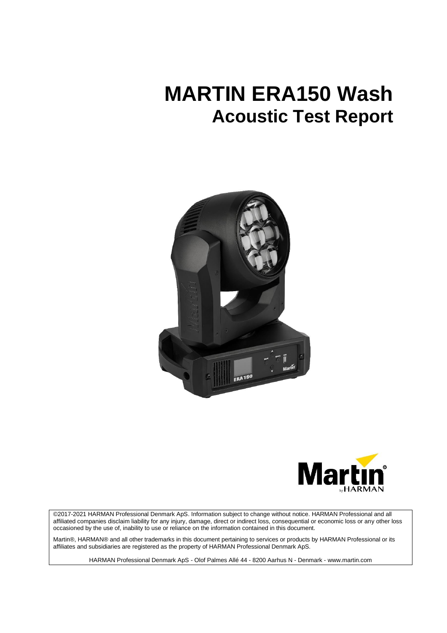# **MARTIN ERA150 Wash Acoustic Test Report**





©2017-2021 HARMAN Professional Denmark ApS. Information subject to change without notice. HARMAN Professional and all affiliated companies disclaim liability for any injury, damage, direct or indirect loss, consequential or economic loss or any other loss occasioned by the use of, inability to use or reliance on the information contained in this document.

Martin®, HARMAN® and all other trademarks in this document pertaining to services or products by HARMAN Professional or its affiliates and subsidiaries are registered as the property of HARMAN Professional Denmark ApS.

HARMAN Professional Denmark ApS - Olof Palmes Allé 44 - 8200 Aarhus N - Denmark - www.martin.com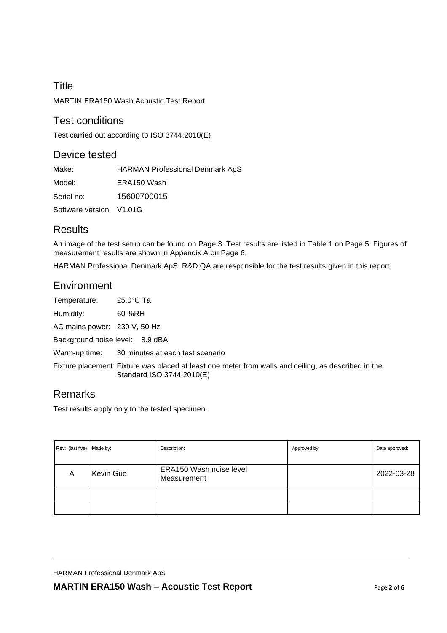# **Title** MARTIN ERA150 Wash Acoustic Test Report

### Test conditions

Test carried out according to ISO 3744:2010(E)

### Device tested

Make: HARMAN Professional Denmark ApS

Model: ERA150 Wash

Serial no: 15600700015

Software version: V1.01G

## Results

An image of the test setup can be found on Page 3. Test results are listed in Table 1 on Page 5. Figures of measurement results are shown in Appendix A on Page 6.

HARMAN Professional Denmark ApS, R&D QA are responsible for the test results given in this report.

## **Environment**

Temperature: 25.0°C Ta

Humidity: 60 %RH

AC mains power: 230 V, 50 Hz

Background noise level: 8.9 dBA

Warm-up time: 30 minutes at each test scenario

Fixture placement: Fixture was placed at least one meter from walls and ceiling, as described in the Standard ISO 3744:2010(E)

## Remarks

Test results apply only to the tested specimen.

| Rev: (last five) Made by: |           | Description:                           | Approved by: | Date approved: |
|---------------------------|-----------|----------------------------------------|--------------|----------------|
| A                         | Kevin Guo | ERA150 Wash noise level<br>Measurement |              | 2022-03-28     |
|                           |           |                                        |              |                |
|                           |           |                                        |              |                |

HARMAN Professional Denmark ApS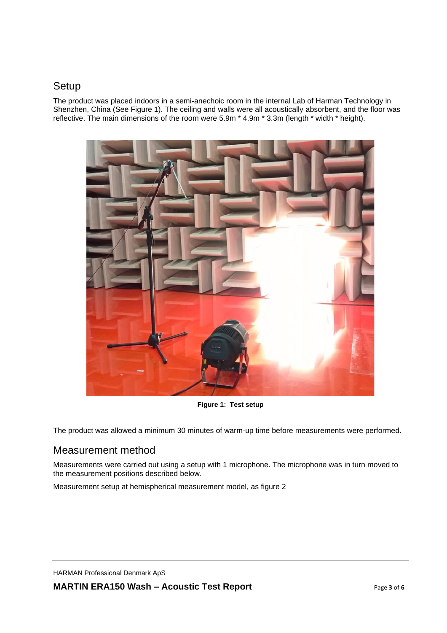### **Setup**

The product was placed indoors in a semi-anechoic room in the internal Lab of Harman Technology in Shenzhen, China (See Figure 1). The ceiling and walls were all acoustically absorbent, and the floor was reflective. The main dimensions of the room were 5.9m \* 4.9m \* 3.3m (length \* width \* height).



**Figure 1: Test setup**

The product was allowed a minimum 30 minutes of warm-up time before measurements were performed.

### Measurement method

Measurements were carried out using a setup with 1 microphone. The microphone was in turn moved to the measurement positions described below.

Measurement setup at hemispherical measurement model, as figure 2

HARMAN Professional Denmark ApS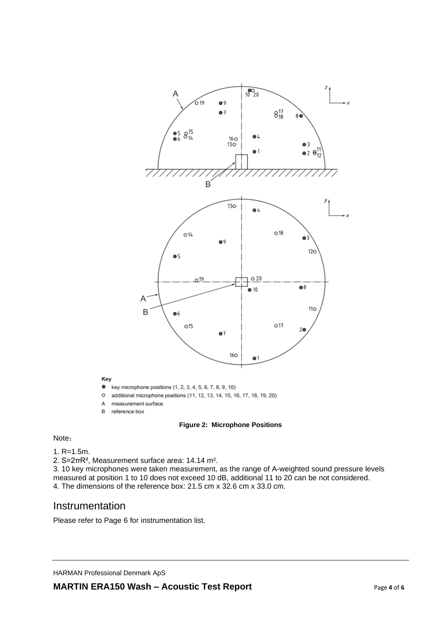

#### **Figure 2: Microphone Positions**

#### Note:

```
1. R=1.5m.
```
2. S=2πR², Measurement surface area: 14.14 m².

3. 10 key microphones were taken measurement, as the range of A-weighted sound pressure levels measured at position 1 to 10 does not exceed 10 dB, additional 11 to 20 can be not considered. 4. The dimensions of the reference box: 21.5 cm x 32.6 cm x 33.0 cm.

### Instrumentation

Please refer to Page 6 for instrumentation list.

HARMAN Professional Denmark ApS

Key

A

B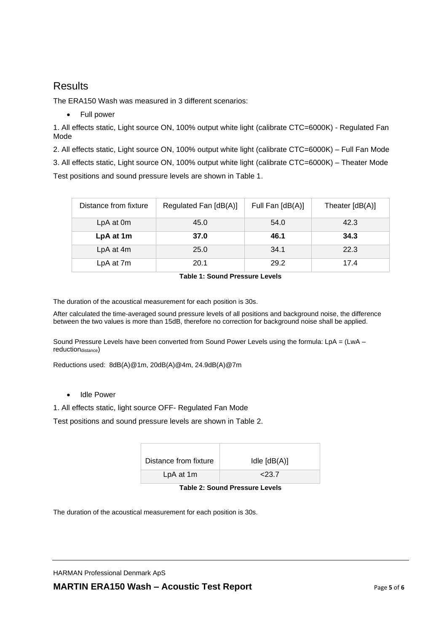## **Results**

The ERA150 Wash was measured in 3 different scenarios:

• Full power

1. All effects static, Light source ON, 100% output white light (calibrate CTC=6000K) - Regulated Fan Mode

2. All effects static, Light source ON, 100% output white light (calibrate CTC=6000K) – Full Fan Mode 3. All effects static, Light source ON, 100% output white light (calibrate CTC=6000K) – Theater Mode Test positions and sound pressure levels are shown in Table 1.

| Distance from fixture | Regulated Fan [dB(A)] | Full Fan [dB(A)] | Theater $[dB(A)]$ |
|-----------------------|-----------------------|------------------|-------------------|
| LpA at 0m             | 45.0                  | 54.0             | 42.3              |
| LpA at 1m             | 37.0                  | 46.1             | 34.3              |
| LpA at 4m             | 25.0                  | 34.1             | 22.3              |
| LpA at 7m             | 20.1                  | 29.2             | 17.4              |

#### **Table 1: Sound Pressure Levels**

The duration of the acoustical measurement for each position is 30s.

After calculated the time-averaged sound pressure levels of all positions and background noise, the difference between the two values is more than 15dB, therefore no correction for background noise shall be applied.

Sound Pressure Levels have been converted from Sound Power Levels using the formula: LpA = (LwA – reductiondistance)

Reductions used: 8dB(A)@1m, 20dB(A)@4m, 24.9dB(A)@7m

#### • Idle Power

1. All effects static, light source OFF- Regulated Fan Mode

Test positions and sound pressure levels are shown in Table 2.

| Distance from fixture | Idle $[dB(A)]$ |  |
|-----------------------|----------------|--|
| LpA at 1m             | 23.7           |  |

**Table 2: Sound Pressure Levels**

The duration of the acoustical measurement for each position is 30s.

HARMAN Professional Denmark ApS